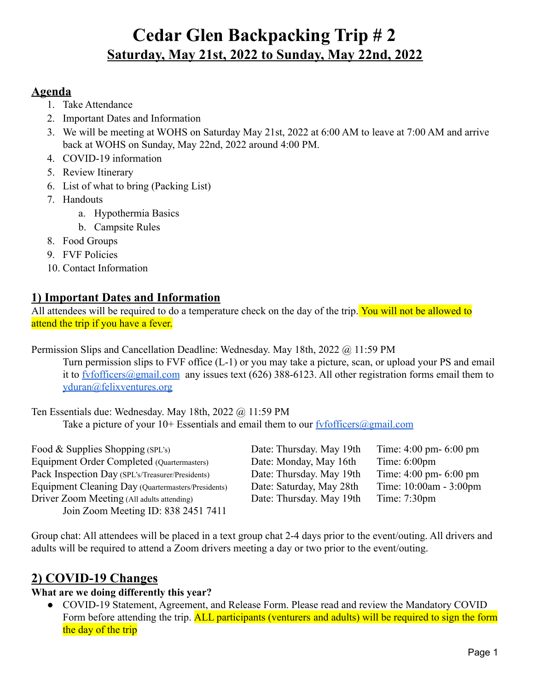#### **Agenda**

- 1. Take Attendance
- 2. Important Dates and Information
- 3. We will be meeting at WOHS on Saturday May 21st, 2022 at 6:00 AM to leave at 7:00 AM and arrive back at WOHS on Sunday, May 22nd, 2022 around 4:00 PM.
- 4. COVID-19 information
- 5. Review Itinerary
- 6. List of what to bring (Packing List)
- 7. Handouts
	- a. Hypothermia Basics
	- b. Campsite Rules
- 8. Food Groups
- 9. FVF Policies
- 10. Contact Information

### **1) Important Dates and Information**

All attendees will be required to do a temperature check on the day of the trip. You will not be allowed to attend the trip if you have a fever.

Permission Slips and Cancellation Deadline: Wednesday. May 18th, 2022 @ 11:59 PM

Turn permission slips to FVF office (L-1) or you may take a picture, scan, or upload your PS and email it to fyfofficers@gmail.com any issues text (626) 388-6123. All other registration forms email them to [yduran@felixventures.org](mailto:yuridiaduran@felixventures.org)

Ten Essentials due: Wednesday. May 18th, 2022 @ 11:59 PM Take a picture of your  $10+$  Essentials and email them to our fyfofficers  $\omega$  gmail.com

| Food & Supplies Shopping $(SPL's)$                 | Date: Thursday. May 19th | Time: $4:00 \text{ pm} - 6:00 \text{ pm}$ |
|----------------------------------------------------|--------------------------|-------------------------------------------|
| Equipment Order Completed (Quartermasters)         | Date: Monday, May 16th   | Time: $6:00 \text{pm}$                    |
| Pack Inspection Day (SPL's/Treasurer/Presidents)   | Date: Thursday. May 19th | Time: $4:00 \text{ pm} - 6:00 \text{ pm}$ |
| Equipment Cleaning Day (Quartermasters/Presidents) | Date: Saturday, May 28th | Time: 10:00am - 3:00pm                    |
| Driver Zoom Meeting (All adults attending)         | Date: Thursday. May 19th | Time: $7:30 \text{pm}$                    |
| Join Zoom Meeting ID: 838 2451 7411                |                          |                                           |

Group chat: All attendees will be placed in a text group chat 2-4 days prior to the event/outing. All drivers and adults will be required to attend a Zoom drivers meeting a day or two prior to the event/outing.

## **2) COVID-19 Changes**

#### **What are we doing differently this year?**

● COVID-19 Statement, Agreement, and Release Form. Please read and review the Mandatory COVID Form before attending the trip. ALL participants (venturers and adults) will be required to sign the form the day of the trip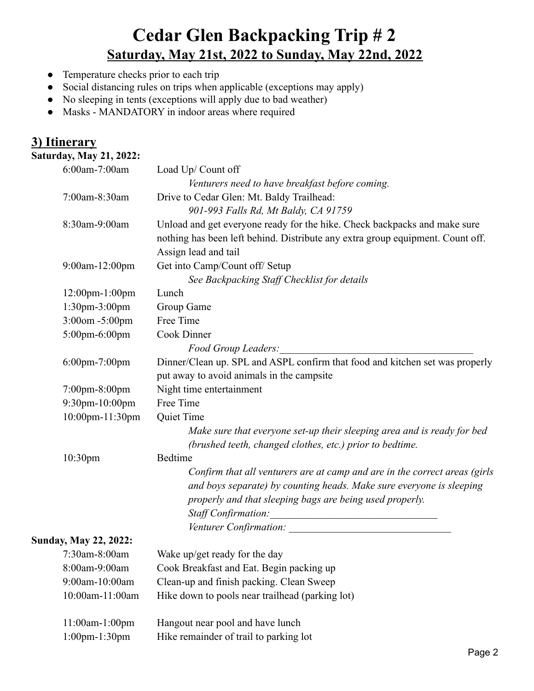- Temperature checks prior to each trip
- Social distancing rules on trips when applicable (exceptions may apply)
- No sleeping in tents (exceptions will apply due to bad weather)
- Masks MANDATORY in indoor areas where required

## **3) Itinerary**

**Saturday, May 21, 2022:**

|                     | 6:00am-7:00am                | Load Up/ Count off                                                                                                 |  |
|---------------------|------------------------------|--------------------------------------------------------------------------------------------------------------------|--|
|                     |                              | Venturers need to have breakfast before coming.                                                                    |  |
|                     | 7:00am-8:30am                | Drive to Cedar Glen: Mt. Baldy Trailhead:                                                                          |  |
|                     |                              | 901-993 Falls Rd, Mt Baldy, CA 91759                                                                               |  |
|                     | 8:30am-9:00am                | Unload and get everyone ready for the hike. Check backpacks and make sure                                          |  |
|                     |                              | nothing has been left behind. Distribute any extra group equipment. Count off.                                     |  |
|                     |                              | Assign lead and tail                                                                                               |  |
|                     | 9:00am-12:00pm               | Get into Camp/Count off/ Setup                                                                                     |  |
|                     |                              | See Backpacking Staff Checklist for details                                                                        |  |
|                     | 12:00pm-1:00pm               | Lunch                                                                                                              |  |
|                     | 1:30pm-3:00pm                | Group Game                                                                                                         |  |
|                     | 3:00om -5:00pm               | Free Time                                                                                                          |  |
|                     | 5:00pm-6:00pm                | Cook Dinner                                                                                                        |  |
|                     |                              | Food Group Leaders:                                                                                                |  |
|                     | 6:00pm-7:00pm                | Dinner/Clean up. SPL and ASPL confirm that food and kitchen set was properly                                       |  |
|                     |                              | put away to avoid animals in the campsite                                                                          |  |
|                     | 7:00pm-8:00pm                | Night time entertainment                                                                                           |  |
|                     | 9:30pm-10:00pm               | Free Time                                                                                                          |  |
|                     | 10:00pm-11:30pm              | Quiet Time                                                                                                         |  |
|                     |                              | Make sure that everyone set-up their sleeping area and is ready for bed                                            |  |
|                     |                              | (brushed teeth, changed clothes, etc.) prior to bedtime.                                                           |  |
| 10:30 <sub>pm</sub> |                              | Bedtime                                                                                                            |  |
|                     |                              | Confirm that all venturers are at camp and are in the correct areas (girls                                         |  |
|                     |                              | and boys separate) by counting heads. Make sure everyone is sleeping                                               |  |
|                     |                              | properly and that sleeping bags are being used properly.                                                           |  |
|                     |                              | <b>Staff Confirmation:</b><br><u> 1980 - Andrea Station, amerikansk politik (</u>                                  |  |
|                     |                              | Venturer Confirmation: University of the Contractor of the Contractor of the University of the University of the U |  |
|                     | <b>Sunday, May 22, 2022:</b> |                                                                                                                    |  |
|                     | $7:30$ am-8:00am             | Wake up/get ready for the day                                                                                      |  |
|                     | 8:00am-9:00am                | Cook Breakfast and Eat. Begin packing up                                                                           |  |
|                     | 9:00am-10:00am               | Clean-up and finish packing. Clean Sweep                                                                           |  |
|                     | 10:00am-11:00am              | Hike down to pools near trailhead (parking lot)                                                                    |  |
|                     | 11:00am-1:00pm               | Hangout near pool and have lunch                                                                                   |  |
|                     | 1:00pm-1:30pm                | Hike remainder of trail to parking lot                                                                             |  |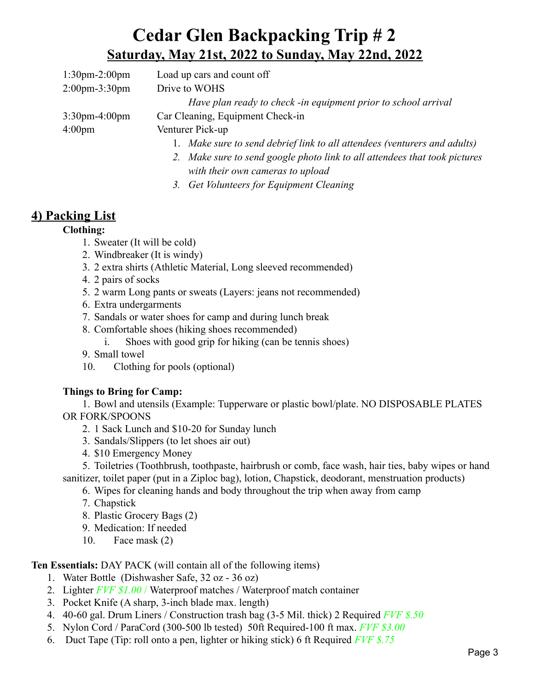| $1:30$ pm- $2:00$ pm              | Load up cars and count off                                                 |
|-----------------------------------|----------------------------------------------------------------------------|
| $2:00 \text{pm} - 3:30 \text{pm}$ | Drive to WOHS                                                              |
|                                   | Have plan ready to check -in equipment prior to school arrival             |
| $3:30$ pm-4:00pm                  | Car Cleaning, Equipment Check-in                                           |
| $4:00 \text{pm}$                  | Venturer Pick-up                                                           |
|                                   | 1. Make sure to send debrief link to all attendees (venturers and adults)  |
|                                   | 2. Make sure to send google photo link to all attendees that took pictures |

*with their own cameras to upload*

*3. Get Volunteers for Equipment Cleaning*

## **4) Packing List**

#### **Clothing:**

- 1. Sweater (It will be cold)
- 2. Windbreaker (It is windy)
- 3. 2 extra shirts (Athletic Material, Long sleeved recommended)
- 4. 2 pairs of socks
- 5. 2 warm Long pants or sweats (Layers: jeans not recommended)
- 6. Extra undergarments
- 7. Sandals or water shoes for camp and during lunch break
- 8. Comfortable shoes (hiking shoes recommended)

i. Shoes with good grip for hiking (can be tennis shoes)

- 9. Small towel
- 10. Clothing for pools (optional)

#### **Things to Bring for Camp:**

1. Bowl and utensils (Example: Tupperware or plastic bowl/plate. NO DISPOSABLE PLATES OR FORK/SPOONS

- 2. 1 Sack Lunch and \$10-20 for Sunday lunch
- 3. Sandals/Slippers (to let shoes air out)
- 4. \$10 Emergency Money

5. Toiletries (Toothbrush, toothpaste, hairbrush or comb, face wash, hair ties, baby wipes or hand sanitizer, toilet paper (put in a Ziploc bag), lotion, Chapstick, deodorant, menstruation products)

- 6. Wipes for cleaning hands and body throughout the trip when away from camp
- 7. Chapstick
- 8. Plastic Grocery Bags (2)
- 9. Medication: If needed
- 10. Face mask (2)

#### **Ten Essentials:** DAY PACK (will contain all of the following items)

- 1. Water Bottle (Dishwasher Safe, 32 oz 36 oz)
- 2. Lighter *FVF \$1.00* / Waterproof matches / Waterproof match container
- 3. Pocket Knife (A sharp, 3-inch blade max. length)
- 4. 40-60 gal. Drum Liners / Construction trash bag (3-5 Mil. thick) 2 Required *FVF \$.50*
- 5. Nylon Cord / ParaCord (300-500 lb tested) 50ft Required-100 ft max. *FVF \$3.00*
- 6. Duct Tape (Tip: roll onto a pen, lighter or hiking stick) 6 ft Required *FVF \$.75*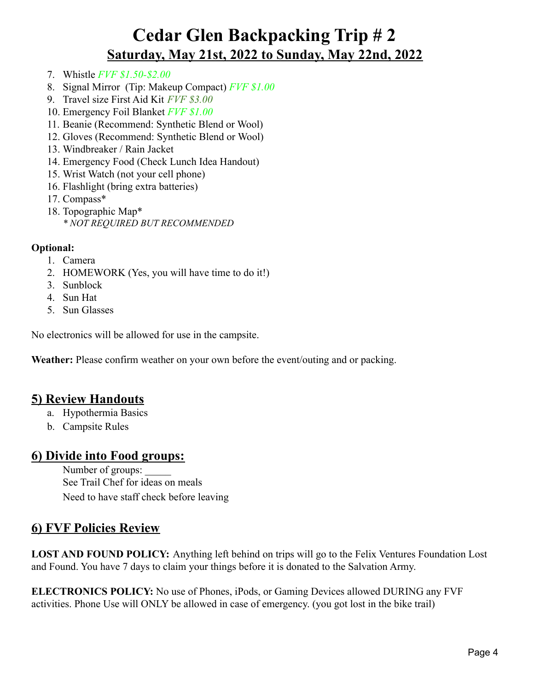- 7. Whistle *FVF \$1.50-\$2.00*
- 8. Signal Mirror (Tip: Makeup Compact) *FVF \$1.00*
- 9. Travel size First Aid Kit *FVF \$3.00*
- 10. Emergency Foil Blanket *FVF \$1.00*
- 11. Beanie (Recommend: Synthetic Blend or Wool)
- 12. Gloves (Recommend: Synthetic Blend or Wool)
- 13. Windbreaker / Rain Jacket
- 14. Emergency Food (Check Lunch Idea Handout)
- 15. Wrist Watch (not your cell phone)
- 16. Flashlight (bring extra batteries)
- 17. Compass\*
- 18. Topographic Map\* *\* NOT REQUIRED BUT RECOMMENDED*

#### **Optional:**

- 1. Camera
- 2. HOMEWORK (Yes, you will have time to do it!)
- 3. Sunblock
- 4. Sun Hat
- 5. Sun Glasses

No electronics will be allowed for use in the campsite.

**Weather:** Please confirm weather on your own before the event/outing and or packing.

## **5) Review Handouts**

- a. Hypothermia Basics
- b. Campsite Rules

#### **6) Divide into Food groups:**

Number of groups: See Trail Chef for ideas on meals Need to have staff check before leaving

### **6) FVF Policies Review**

**LOST AND FOUND POLICY:** Anything left behind on trips will go to the Felix Ventures Foundation Lost and Found. You have 7 days to claim your things before it is donated to the Salvation Army.

**ELECTRONICS POLICY:** No use of Phones, iPods, or Gaming Devices allowed DURING any FVF activities. Phone Use will ONLY be allowed in case of emergency. (you got lost in the bike trail)